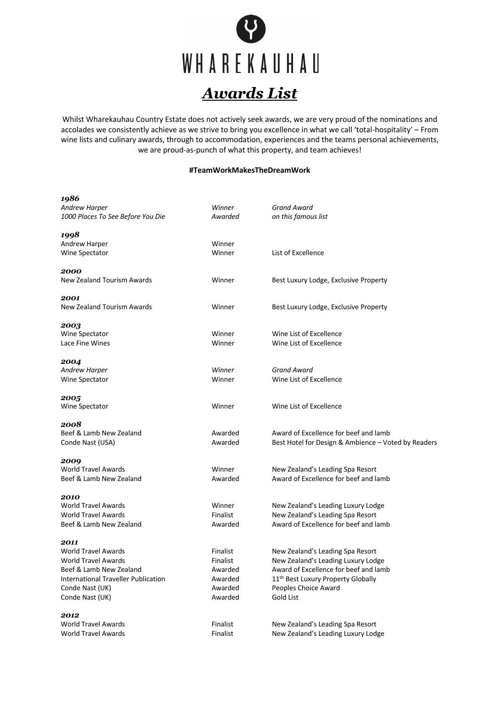

Whilst Wharekauhau Country Estate does not actively seek awards, we are very proud of the nominations and accolades we consistently achieve as we strive to bring you excellence in what we call 'total-hospitality' – From wine lists and culinary awards, through to accommodation, experiences and the teams personal achievements, we are proud-as-punch of what this property, and team achieves!

## **#TeamWorkMakesTheDreamWork**

| 1986                                |                 |                                                     |
|-------------------------------------|-----------------|-----------------------------------------------------|
| Andrew Harper                       | Winner          | Grand Award                                         |
| 1000 Places To See Before You Die   | Awarded         | on this famous list                                 |
| 1998                                |                 |                                                     |
| Andrew Harper                       | Winner          |                                                     |
| Wine Spectator                      | Winner          | List of Excellence                                  |
| 2000                                |                 |                                                     |
| New Zealand Tourism Awards          | Winner          | Best Luxury Lodge, Exclusive Property               |
| 2001                                |                 |                                                     |
| New Zealand Tourism Awards          | Winner          | Best Luxury Lodge, Exclusive Property               |
| 2003                                |                 |                                                     |
| Wine Spectator                      | Winner          | Wine List of Excellence                             |
| Lace Fine Wines                     | Winner          | Wine List of Excellence                             |
| 2004                                |                 |                                                     |
| <b>Andrew Harper</b>                | Winner          | <b>Grand Award</b>                                  |
| Wine Spectator                      | Winner          | Wine List of Excellence                             |
| 2005                                |                 |                                                     |
| Wine Spectator                      | Winner          | Wine List of Excellence                             |
| 2008                                |                 |                                                     |
| Beef & Lamb New Zealand             | Awarded         | Award of Excellence for beef and lamb               |
| Conde Nast (USA)                    | Awarded         | Best Hotel for Design & Ambience - Voted by Readers |
| 2009                                |                 |                                                     |
| <b>World Travel Awards</b>          | Winner          | New Zealand's Leading Spa Resort                    |
| Beef & Lamb New Zealand             | Awarded         | Award of Excellence for beef and lamb               |
| 2010                                |                 |                                                     |
| <b>World Travel Awards</b>          | Winner          | New Zealand's Leading Luxury Lodge                  |
| <b>World Travel Awards</b>          | <b>Finalist</b> | New Zealand's Leading Spa Resort                    |
| Beef & Lamb New Zealand             | Awarded         | Award of Excellence for beef and lamb               |
| 2011                                |                 |                                                     |
| <b>World Travel Awards</b>          | <b>Finalist</b> | New Zealand's Leading Spa Resort                    |
| <b>World Travel Awards</b>          | <b>Finalist</b> | New Zealand's Leading Luxury Lodge                  |
| Beef & Lamb New Zealand             | Awarded         | Award of Excellence for beef and lamb               |
| International Traveller Publication | Awarded         | 11 <sup>th</sup> Best Luxury Property Globally      |
| Conde Nast (UK)                     | Awarded         | Peoples Choice Award                                |
| Conde Nast (UK)                     | Awarded         | <b>Gold List</b>                                    |
| 2012                                |                 |                                                     |
| <b>World Travel Awards</b>          | Finalist        | New Zealand's Leading Spa Resort                    |
| <b>World Travel Awards</b>          | Finalist        | New Zealand's Leading Luxury Lodge                  |